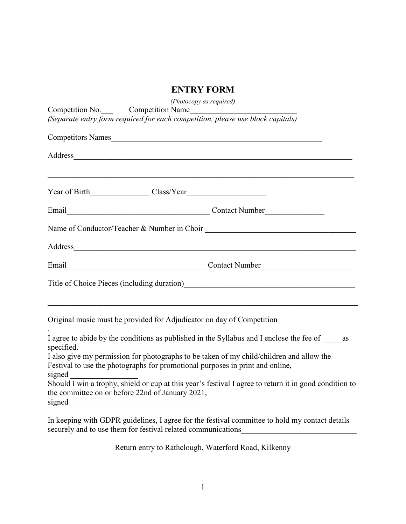## **ENTRY FORM**

| (Photocopy as required)<br>Competition No. Competition Name<br>(Separate entry form required for each competition, please use block capitals)<br>Competitors Names                                                                                                                            |                             |
|-----------------------------------------------------------------------------------------------------------------------------------------------------------------------------------------------------------------------------------------------------------------------------------------------|-----------------------------|
|                                                                                                                                                                                                                                                                                               |                             |
|                                                                                                                                                                                                                                                                                               |                             |
| Email Contact Number                                                                                                                                                                                                                                                                          |                             |
|                                                                                                                                                                                                                                                                                               |                             |
| Address and the contract of the contract of the contract of the contract of the contract of the contract of the contract of the contract of the contract of the contract of the contract of the contract of the contract of th                                                                |                             |
| Email                                                                                                                                                                                                                                                                                         | Contact Number Contact 2018 |
| Title of Choice Pieces (including duration)<br><u>Land Choice Pieces</u> (including duration)                                                                                                                                                                                                 |                             |
| Original music must be provided for Adjudicator on day of Competition                                                                                                                                                                                                                         |                             |
| I agree to abide by the conditions as published in the Syllabus and I enclose the fee of _____<br>as<br>specified.                                                                                                                                                                            |                             |
| I also give my permission for photographs to be taken of my child/children and allow the<br>Festival to use the photographs for promotional purposes in print and online,<br>signed                                                                                                           |                             |
| Should I win a trophy, shield or cup at this year's festival I agree to return it in good condition to<br>the committee on or before 22nd of January 2021,<br>signed<br><u> 1989 - Johann John Stone, market fan de Amerikaanske kommunister oant it fan de Amerikaanske kommunister fan </u> |                             |

In keeping with GDPR guidelines, I agree for the festival committee to hold my contact details securely and to use them for festival related communications\_\_\_\_\_\_\_\_\_\_\_\_\_\_\_\_\_\_\_\_

Return entry to Rathclough, Waterford Road, Kilkenny